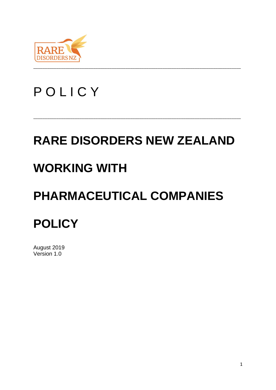

# **POLICY**

# **RARE DISORDERS NEW ZEALAND**

\_\_\_\_\_\_\_\_\_\_\_\_\_\_\_\_\_\_\_\_\_\_\_\_\_\_\_\_\_\_\_\_\_\_\_\_\_\_\_\_\_\_\_\_\_\_\_\_\_\_\_\_\_\_\_\_\_\_\_\_\_\_\_\_\_\_\_\_\_\_\_\_\_\_\_\_\_\_\_\_\_\_\_\_\_\_\_\_\_\_

# **WORKING WITH**

# **PHARMACEUTICAL COMPANIES**

# **POLICY**

August 2019 Version 1.0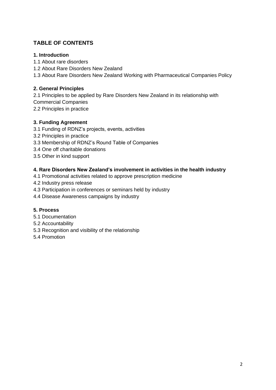## **TABLE OF CONTENTS**

#### **1. Introduction**

- 1.1 About rare disorders
- 1.2 About Rare Disorders New Zealand
- 1.3 About Rare Disorders New Zealand Working with Pharmaceutical Companies Policy

#### **2. General Principles**

- 2.1 Principles to be applied by Rare Disorders New Zealand in its relationship with Commercial Companies
- 
- 2.2 Principles in practice

#### **3. Funding Agreement**

- 3.1 Funding of RDNZ's projects, events, activities
- 3.2 Principles in practice
- 3.3 Membership of RDNZ's Round Table of Companies
- 3.4 One off charitable donations
- 3.5 Other in kind support

#### **4. Rare Disorders New Zealand's involvement in activities in the health industry**

- 4.1 Promotional activities related to approve prescription medicine
- 4.2 Industry press release
- 4.3 Participation in conferences or seminars held by industry
- 4.4 Disease Awareness campaigns by industry

#### **5. Process**

- 5.1 Documentation
- 5.2 Accountability
- 5.3 Recognition and visibility of the relationship
- 5.4 Promotion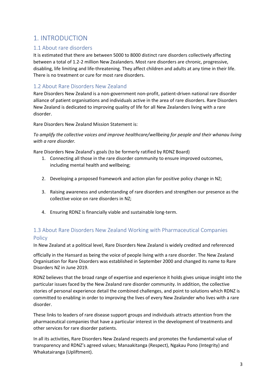## 1. INTRODUCTION

#### 1.1 About rare disorders

It is estimated that there are between 5000 to 8000 distinct rare disorders collectively affecting between a total of 1.2-2 million New Zealanders. Most rare disorders are chronic, progressive, disabling, life limiting and life-threatening. They affect children and adults at any time in their life. There is no treatment or cure for most rare disorders.

### 1.2 About Rare Disorders New Zealand

Rare Disorders New Zealand is a non-government non-profit, patient-driven national rare disorder alliance of patient organisations and individuals active in the area of rare disorders. Rare Disorders New Zealand is dedicated to improving quality of life for all New Zealanders living with a rare disorder.

Rare Disorders New Zealand Mission Statement is:

*To amplify the collective voices and improve healthcare/wellbeing for people and their whanau living with a rare disorder.* 

Rare Disorders New Zealand's goals (to be formerly ratified by RDNZ Board)

- 1. Connecting all those in the rare disorder community to ensure improved outcomes, including mental health and wellbeing;
- 2. Developing a proposed framework and action plan for positive policy change in NZ;
- 3. Raising awareness and understanding of rare disorders and strengthen our presence as the collective voice on rare disorders in NZ;
- 4. Ensuring RDNZ is financially viable and sustainable long-term.

## 1.3 About Rare Disorders New Zealand Working with Pharmaceutical Companies **Policy**

In New Zealand at a political level, Rare Disorders New Zealand is widely credited and referenced

officially in the Hansard as being the voice of people living with a rare disorder. The New Zealand Organisation for Rare Disorders was established in September 2000 and changed its name to Rare Disorders NZ in June 2019.

RDNZ believes that the broad range of expertise and experience it holds gives unique insight into the particular issues faced by the New Zealand rare disorder community. In addition, the collective stories of personal experience detail the combined challenges, and point to solutions which RDNZ is committed to enabling in order to improving the lives of every New Zealander who lives with a rare disorder.

These links to leaders of rare disease support groups and individuals attracts attention from the pharmaceutical companies that have a particular interest in the development of treatments and other services for rare disorder patients.

In all its activities, Rare Disorders New Zealand respects and promotes the fundamental value of transparency and RDNZ's agreed values; Manaakitanga (Respect), Ngakau Pono (Integrity) and Whakatairanga (Upliftment).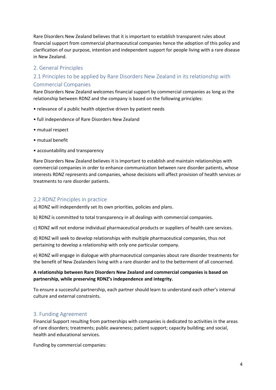Rare Disorders New Zealand believes that it is important to establish transparent rules about financial support from commercial pharmaceutical companies hence the adoption of this policy and clarification of our purpose, intention and independent support for people living with a rare disease in New Zealand.

#### 2. General Principles

### 2.1 Principles to be applied by Rare Disorders New Zealand in its relationship with Commercial Companies

Rare Disorders New Zealand welcomes financial support by commercial companies as long as the relationship between RDNZ and the company is based on the following principles:

- relevance of a public health objective driven by patient needs
- full independence of Rare Disorders New Zealand
- mutual respect
- mutual benefit
- accountability and transparency

Rare Disorders New Zealand believes it is important to establish and maintain relationships with commercial companies in order to enhance communication between rare disorder patients, whose interests RDNZ represents and companies, whose decisions will affect provision of health services or treatments to rare disorder patients.

#### 2.2 RDNZ Principles in practice

a) RDNZ will independently set its own priorities, policies and plans.

b) RDNZ is committed to total transparency in all dealings with commercial companies.

c) RDNZ will not endorse individual pharmaceutical products or suppliers of health care services.

d) RDNZ will seek to develop relationships with multiple pharmaceutical companies, thus not pertaining to develop a relationship with only one particular company.

e) RDNZ will engage in dialogue with pharmaceutical companies about rare disorder treatments for the benefit of New Zealanders living with a rare disorder and to the betterment of all concerned.

#### **A relationship between Rare Disorders New Zealand and commercial companies is based on partnership, while preserving RDNZ's independence and integrity.**

To ensure a successful partnership, each partner should learn to understand each other's internal culture and external constraints.

#### 3. Funding Agreement

Financial Support resulting from partnerships with companies is dedicated to activities in the areas of rare disorders; treatments; public awareness; patient support; capacity building; and social, health and educational services.

Funding by commercial companies: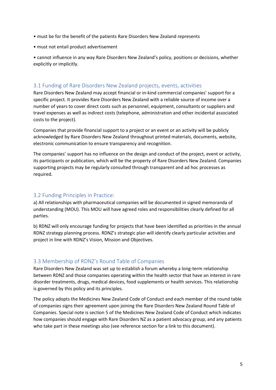- must be for the benefit of the patients Rare Disorders New Zealand represents
- must not entail product advertisement

• cannot influence in any way Rare Disorders New Zealand's policy, positions or decisions, whether explicitly or implicitly.

#### 3.1 Funding of Rare Disorders New Zealand projects, events, activities

Rare Disorders New Zealand may accept financial or in-kind commercial companies' support for a specific project. It provides Rare Disorders New Zealand with a reliable source of income over a number of years to cover direct costs such as personnel, equipment, consultants or suppliers and travel expenses as well as indirect costs (telephone, administration and other incidental associated costs to the project).

Companies that provide financial support to a project or an event or an activity will be publicly acknowledged by Rare Disorders New Zealand throughout printed materials, documents, website, electronic communication to ensure transparency and recognition.

The companies' support has no influence on the design and conduct of the project, event or activity, its participants or publication, which will be the property of Rare Disorders New Zealand. Companies supporting projects may be regularly consulted through transparent and ad hoc processes as required.

#### 3.2 Funding Principles in Practice:

a) All relationships with pharmaceutical companies will be documented in signed memoranda of understanding (MOU). This MOU will have agreed roles and responsibilities clearly defined for all parties.

b) RDNZ will only encourage funding for projects that have been identified as priorities in the annual RDNZ strategy planning process. RDNZ's strategic plan will identify clearly particular activities and project in line with RDNZ's Vision, Mission and Objectives.

#### 3.3 Membership of RDNZ's Round Table of Companies

Rare Disorders New Zealand was set up to establish a forum whereby a long-term relationship between RDNZ and those companies operating within the health sector that have an interest in rare disorder treatments, drugs, medical devices, food supplements or health services. This relationship is governed by this policy and its principles.

The policy adopts the Medicines New Zealand Code of Conduct and each member of the round table of companies signs their agreement upon joining the Rare Disorders New Zealand Round Table of Companies. Special note is section 5 of the Medicines New Zealand Code of Conduct which indicates how companies should engage with Rare Disorders NZ as a patient advocacy group, and any patients who take part in these meetings also (see reference section for a link to this document).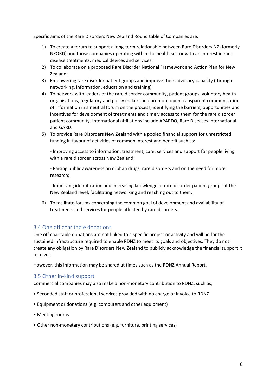Specific aims of the Rare Disorders New Zealand Round table of Companies are:

- 1) To create a forum to support a long-term relationship between Rare Disorders NZ (formerly NZORD) and those companies operating within the health sector with an interest in rare disease treatments, medical devices and services;
- 2) To collaborate on a proposed Rare Disorder National Framework and Action Plan for New Zealand;
- 3) Empowering rare disorder patient groups and improve their advocacy capacity (through networking, information, education and training);
- 4) To network with leaders of the rare disorder community, patient groups, voluntary health organisations, regulatory and policy makers and promote open transparent communication of information in a neutral forum on the process, identifying the barriers, opportunities and incentives for development of treatments and timely access to them for the rare disorder patient community. International affiliations include APARDO, Rare Diseases International and GARD.
- 5) To provide Rare Disorders New Zealand with a pooled financial support for unrestricted funding in favour of activities of common interest and benefit such as:

- Improving access to information, treatment, care, services and support for people living with a rare disorder across New Zealand;

- Raising public awareness on orphan drugs, rare disorders and on the need for more research;

- Improving identification and increasing knowledge of rare disorder patient groups at the New Zealand level; facilitating networking and reaching out to them.

6) To facilitate forums concerning the common goal of development and availability of treatments and services for people affected by rare disorders.

#### 3.4 One off charitable donations

One off charitable donations are not linked to a specific project or activity and will be for the sustained infrastructure required to enable RDNZ to meet its goals and objectives. They do not create any obligation by Rare Disorders New Zealand to publicly acknowledge the financial support it receives.

However, this information may be shared at times such as the RDNZ Annual Report.

#### 3.5 Other in-kind support

Commercial companies may also make a non-monetary contribution to RDNZ, such as;

- Seconded staff or professional services provided with no charge or invoice to RDNZ
- Equipment or donations (e.g. computers and other equipment)
- Meeting rooms
- Other non-monetary contributions (e.g. furniture, printing services)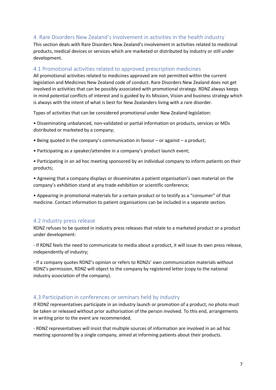#### 4. Rare Disorders New Zealand's involvement in activities in the health industry

This section deals with Rare Disorders New Zealand's involvement in activities related to medicinal products, medical devices or services which are marketed or distributed by industry or still under development.

#### 4.1 Promotional activities related to approved prescription medicines

All promotional activities related to medicines approved are not permitted within the current legislation and Medicines New Zealand code of conduct. Rare Disorders New Zealand does not get involved in activities that can be possibly associated with promotional strategy. RDNZ always keeps in mind potential conflicts of interest and is guided by its Mission, Vision and business strategy which is always with the intent of what is best for New Zealanders living with a rare disorder.

Types of activities that can be considered promotional under New Zealand legislation:

• Disseminating unbalanced, non-validated or partial information on products, services or MDs distributed or marketed by a company;

- Being quoted in the company's communication in favour or against a product;
- Participating as a speaker/attendee in a company's product launch event;

• Participating in an ad hoc meeting sponsored by an individual company to inform patients on their products;

• Agreeing that a company displays or disseminates a patient organisation's own material on the company's exhibition stand at any trade exhibition or scientific conference;

• Appearing in promotional materials for a certain product or to testify as a "consumer" of that medicine. Contact information to patient organisations can be included in a separate section.

#### 4.2 Industry press release

RDNZ refuses to be quoted in industry press releases that relate to a marketed product or a product under development:

- If RDNZ feels the need to communicate to media about a product, it will issue its own press release, independently of industry;

- If a company quotes RDNZ's opinion or refers to RDNZs' own communication materials without RDNZ's permission, RDNZ will object to the company by registered letter (copy to the national industry association of the company).

#### 4.3 Participation in conferences or seminars held by industry

If RDNZ representatives participate in an industry launch or promotion of a product, no photo must be taken or released without prior authorisation of the person involved. To this end, arrangements in writing prior to the event are recommended.

- RDNZ representatives will insist that multiple sources of information are involved in an ad hoc meeting sponsored by a single company, aimed at informing patients about their products.